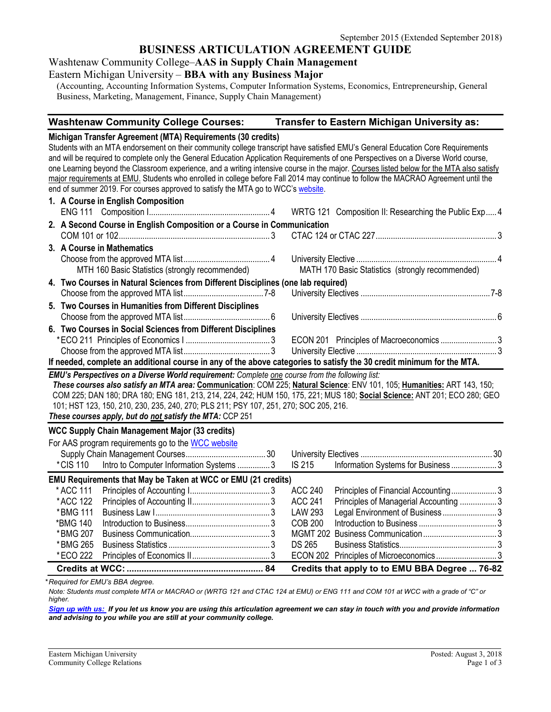# **BUSINESS ARTICULATION AGREEMENT GUIDE**

Washtenaw Community College–**AAS in Supply Chain Management** 

# Eastern Michigan University – **BBA with any Business Major**

(Accounting, Accounting Information Systems, Computer Information Systems, Economics, Entrepreneurship, General Business, Marketing, Management, Finance, Supply Chain Management)

#### **Washtenaw Community College Courses: Transfer to Eastern Michigan University as:**

#### **Michigan Transfer Agreement (MTA) Requirements (30 credits)**

Students with an MTA endorsement on their community college transcript have satisfied EMU's General Education Core Requirements and will be required to complete only the General Education Application Requirements of one Perspectives on a Diverse World course, one Learning beyond the Classroom experience, and a writing intensive course in the major. Courses listed below for the MTA also satisfy major requirements at EMU. Students who enrolled in college before Fall 2014 may continue to follow the MACRAO Agreement until the end of summer 2019. For courses approved to satisfy the MTA go to WCC's [website.](http://www.wccnet.edu/services/transferresources/mta/)

|                                                                                                                          | 1. A Course in English Composition                                                                                        |  |  |  |  |
|--------------------------------------------------------------------------------------------------------------------------|---------------------------------------------------------------------------------------------------------------------------|--|--|--|--|
|                                                                                                                          |                                                                                                                           |  |  |  |  |
|                                                                                                                          | 2. A Second Course in English Composition or a Course in Communication                                                    |  |  |  |  |
|                                                                                                                          |                                                                                                                           |  |  |  |  |
|                                                                                                                          | 3. A Course in Mathematics                                                                                                |  |  |  |  |
|                                                                                                                          |                                                                                                                           |  |  |  |  |
|                                                                                                                          | MTH 160 Basic Statistics (strongly recommended) MATH 170 Basic Statistics (strongly recommended)                          |  |  |  |  |
|                                                                                                                          | 4. Two Courses in Natural Sciences from Different Disciplines (one lab required)                                          |  |  |  |  |
|                                                                                                                          |                                                                                                                           |  |  |  |  |
|                                                                                                                          | 5. Two Courses in Humanities from Different Disciplines                                                                   |  |  |  |  |
|                                                                                                                          |                                                                                                                           |  |  |  |  |
|                                                                                                                          | 6. Two Courses in Social Sciences from Different Disciplines                                                              |  |  |  |  |
|                                                                                                                          |                                                                                                                           |  |  |  |  |
|                                                                                                                          |                                                                                                                           |  |  |  |  |
| If needed, complete an additional course in any of the above categories to satisfy the 30 credit minimum for the MTA.    |                                                                                                                           |  |  |  |  |
| EMU's Perspectives on a Diverse World requirement: Complete one course from the following list:                          |                                                                                                                           |  |  |  |  |
| These courses also satisfy an MTA area: Communication: COM 225; Natural Science: ENV 101, 105; Humanities: ART 143, 150; |                                                                                                                           |  |  |  |  |
|                                                                                                                          | COM 225; DAN 180; DRA 180; ENG 181, 213, 214, 224, 242; HUM 150, 175, 221; MUS 180; Social Science: ANT 201; ECO 280; GEO |  |  |  |  |
| 101; HST 123, 150, 210, 230, 235, 240, 270; PLS 211; PSY 107, 251, 270; SOC 205, 216.                                    |                                                                                                                           |  |  |  |  |
| These courses apply, but do not satisfy the MTA: CCP 251                                                                 |                                                                                                                           |  |  |  |  |

#### **WCC Supply Chain Management Major (33 credits)**

|           | For AAS program requirements go to the WCC website                                         |  |         |                                                |  |
|-----------|--------------------------------------------------------------------------------------------|--|---------|------------------------------------------------|--|
|           |                                                                                            |  |         |                                                |  |
|           | *CIS 110 Intro to Computer Information Systems 3 IS 215 Information Systems for Business 3 |  |         |                                                |  |
|           | <b>EMU Requirements that May be Taken at WCC or EMU (21 credits)</b>                       |  |         |                                                |  |
| * ACC 111 |                                                                                            |  | ACC 240 | Principles of Financial Accounting3            |  |
| * ACC 122 |                                                                                            |  |         | Principles of Managerial Accounting 3          |  |
| *BMG 111  |                                                                                            |  |         | Legal Environment of Business3                 |  |
| *BMG 140  |                                                                                            |  | COB 200 |                                                |  |
| *BMG 207  |                                                                                            |  |         |                                                |  |
| * BMG 265 |                                                                                            |  |         |                                                |  |
| *ECO 222  |                                                                                            |  |         | ECON 202 Principles of Microeconomics3         |  |
|           |                                                                                            |  |         | Credits that apply to to EMU BBA Degree  76-82 |  |

*\* Required for EMU's BBA degree.*

*Note: Students must complete MTA or MACRAO or (WRTG 121 and CTAC 124 at EMU) or ENG 111 and COM 101 at WCC with a grade of "C" or higher.*

*[Sign up with us:](https://www.emich.edu/ccr/articulation-agreements/signup.php) If you let us know you are using this articulation agreement we can stay in touch with you and provide information and advising to you while you are still at your community college.*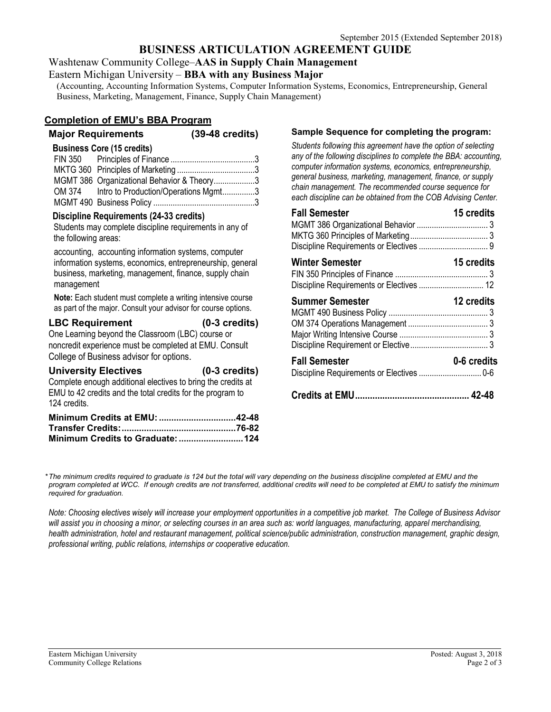# **BUSINESS ARTICULATION AGREEMENT GUIDE**

Washtenaw Community College–**AAS in Supply Chain Management** 

#### Eastern Michigan University – **BBA with any Business Major**

(Accounting, Accounting Information Systems, Computer Information Systems, Economics, Entrepreneurship, General Business, Marketing, Management, Finance, Supply Chain Management)

## **Completion of EMU's BBA Program**

# **Major Requirements (39-48 credits) Business Core (15 credits)** FIN 350 Principles of Finance .......................................3 MKTG 360 Principles of Marketing ....................................3

| MGMT 386 Organizational Behavior & Theory3  |  |
|---------------------------------------------|--|
| OM 374 Intro to Production/Operations Mgmt3 |  |
|                                             |  |
|                                             |  |

### **Discipline Requirements (24-33 credits)**

Students may complete discipline requirements in any of the following areas:

accounting, accounting information systems, computer information systems, economics, entrepreneurship, general business, marketing, management, finance, supply chain management

**Note:** Each student must complete a writing intensive course as part of the major. Consult your advisor for course options.

## **LBC Requirement (0-3 credits)** One Learning beyond the Classroom (LBC) course or noncredit experience must be completed at EMU. Consult College of Business advisor for options.

| <b>University Electives</b>                                                | $(0-3 \text{ credits})$ |
|----------------------------------------------------------------------------|-------------------------|
| Complete enough additional electives to bring the credits at               |                         |
| EMU to 42 credits and the total credits for the program to<br>124 credits. |                         |
| Minimum Credits at EMU: 42-48                                              |                         |

# **Sample Sequence for completing the program:**

*Students following this agreement have the option of selecting any of the following disciplines to complete the BBA: accounting, computer information systems, economics, entrepreneurship, general business, marketing, management, finance, or supply chain management. The recommended course sequence for each discipline can be obtained from the COB Advising Center.*

| <b>Fall Semester</b>                                               | 15 credits  |
|--------------------------------------------------------------------|-------------|
| <b>Winter Semester</b><br>Discipline Requirements or Electives  12 | 15 credits  |
| <b>Summer Semester</b>                                             | 12 credits  |
| <b>Fall Semester</b>                                               | 0-6 credits |
|                                                                    |             |

*\*The minimum credits required to graduate is 124 but the total will vary depending on the business discipline completed at EMU and the*  program completed at WCC. If enough credits are not transferred, additional credits will need to be completed at EMU to satisfy the minimum *required for graduation.*

*Note: Choosing electives wisely will increase your employment opportunities in a competitive job market. The College of Business Advisor will assist you in choosing a minor, or selecting courses in an area such as: world languages, manufacturing, apparel merchandising, health administration, hotel and restaurant management, political science/public administration, construction management, graphic design, professional writing, public relations, internships or cooperative education.*